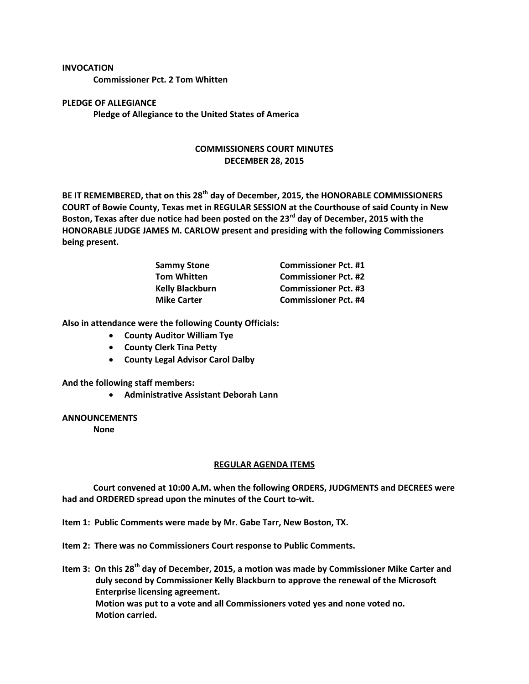## **INVOCATION**

**Commissioner Pct. 2 Tom Whitten**

**PLEDGE OF ALLEGIANCE Pledge of Allegiance to the United States of America**

## **COMMISSIONERS COURT MINUTES DECEMBER 28, 2015**

**BE IT REMEMBERED, that on this 28th day of December, 2015, the HONORABLE COMMISSIONERS COURT of Bowie County, Texas met in REGULAR SESSION at the Courthouse of said County in New Boston, Texas after due notice had been posted on the 23rd day of December, 2015 with the HONORABLE JUDGE JAMES M. CARLOW present and presiding with the following Commissioners being present.**

| <b>Sammy Stone</b>     | <b>Commissioner Pct. #1</b> |
|------------------------|-----------------------------|
| <b>Tom Whitten</b>     | <b>Commissioner Pct. #2</b> |
| <b>Kelly Blackburn</b> | <b>Commissioner Pct. #3</b> |
| <b>Mike Carter</b>     | <b>Commissioner Pct. #4</b> |

**Also in attendance were the following County Officials:**

- **County Auditor William Tye**
- **County Clerk Tina Petty**
- **County Legal Advisor Carol Dalby**

**And the following staff members:**

**Administrative Assistant Deborah Lann**

## **ANNOUNCEMENTS**

**None**

## **REGULAR AGENDA ITEMS**

**Court convened at 10:00 A.M. when the following ORDERS, JUDGMENTS and DECREES were had and ORDERED spread upon the minutes of the Court to-wit.**

- **Item 1: Public Comments were made by Mr. Gabe Tarr, New Boston, TX.**
- **Item 2: There was no Commissioners Court response to Public Comments.**
- **Item 3: On this 28th day of December, 2015, a motion was made by Commissioner Mike Carter and duly second by Commissioner Kelly Blackburn to approve the renewal of the Microsoft Enterprise licensing agreement. Motion was put to a vote and all Commissioners voted yes and none voted no. Motion carried.**